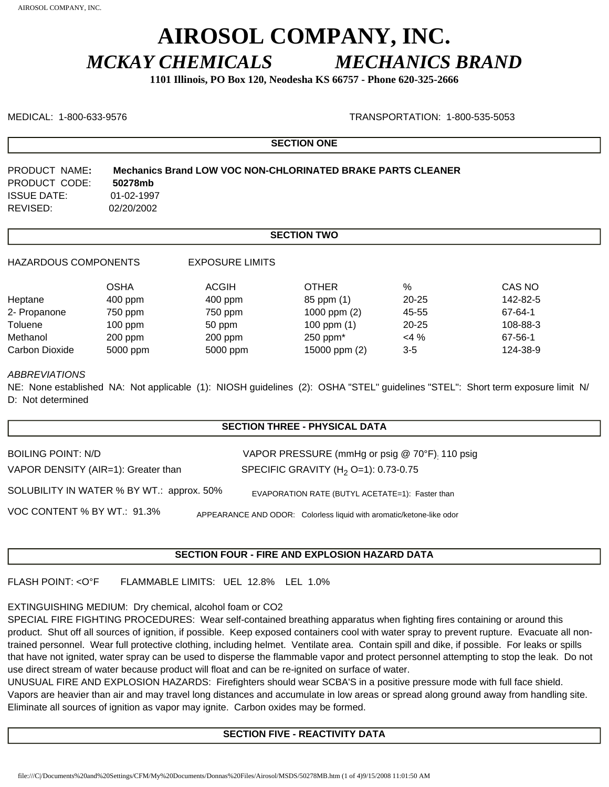# **AIROSOL COMPANY, INC.** *MCKAY CHEMICALS MECHANICS BRAND*

**1101 Illinois, PO Box 120, Neodesha KS 66757 - Phone 620-325-2666**

MEDICAL: 1-800-633-9576 TRANSPORTATION: 1-800-535-5053

**SECTION ONE**

| PRODUCT NAME:      | Mechanics Brand LOW VOC NON-CHLORINATED BRAKE PARTS CLEANER |
|--------------------|-------------------------------------------------------------|
| PRODUCT CODE:      | 50278mb                                                     |
| <b>ISSUE DATE:</b> | 01-02-1997                                                  |
| REVISED:           | 02/20/2002                                                  |

# **SECTION TWO**

HAZARDOUS COMPONENTS EXPOSURE LIMITS

|                | OSHA      | <b>ACGIH</b> | <b>OTHER</b>   | %         | CAS NO   |
|----------------|-----------|--------------|----------------|-----------|----------|
| Heptane        | $400$ ppm | $400$ ppm    | 85 ppm (1)     | $20 - 25$ | 142-82-5 |
| 2- Propanone   | 750 ppm   | 750 ppm      | 1000 ppm $(2)$ | 45-55     | 67-64-1  |
| Toluene        | $100$ ppm | 50 ppm       | 100 ppm $(1)$  | $20 - 25$ | 108-88-3 |
| Methanol       | $200$ ppm | $200$ ppm    | $250$ ppm $*$  | $<$ 4 %   | 67-56-1  |
| Carbon Dioxide | 5000 ppm  | 5000 ppm     | 15000 ppm (2)  | 3-5       | 124-38-9 |

#### *ABBREVIATIONS*

NE: None established NA: Not applicable (1): NIOSH guidelines (2): OSHA "STEL" guidelines "STEL": Short term exposure limit N/ D: Not determined

# **SECTION THREE - PHYSICAL DATA**

| BOILING POINT: N/D                        | VAPOR PRESSURE (mmHg or psig @ 70°F). 110 psig                       |
|-------------------------------------------|----------------------------------------------------------------------|
| VAPOR DENSITY (AIR=1): Greater than       | SPECIFIC GRAVITY (H <sub>2</sub> O=1): 0.73-0.75                     |
| SOLUBILITY IN WATER % BY WT.: approx. 50% | EVAPORATION RATE (BUTYL ACETATE=1): Faster than                      |
| VOC CONTENT % BY WT.: 91.3%               | APPEARANCE AND ODOR: Colorless liquid with aromatic/ketone-like odor |

# **SECTION FOUR - FIRE AND EXPLOSION HAZARD DATA**

FLASH POINT: <O°F FLAMMABLE LIMITS: UEL 12.8% LEL 1.0%

# EXTINGUISHING MEDIUM: Dry chemical, alcohol foam or CO2

SPECIAL FIRE FIGHTING PROCEDURES: Wear self-contained breathing apparatus when fighting fires containing or around this product. Shut off all sources of ignition, if possible. Keep exposed containers cool with water spray to prevent rupture. Evacuate all nontrained personnel. Wear full protective clothing, including helmet. Ventilate area. Contain spill and dike, if possible. For leaks or spills that have not ignited, water spray can be used to disperse the flammable vapor and protect personnel attempting to stop the leak. Do not use direct stream of water because product will float and can be re-ignited on surface of water.

UNUSUAL FIRE AND EXPLOSION HAZARDS: Firefighters should wear SCBA'S in a positive pressure mode with full face shield. Vapors are heavier than air and may travel long distances and accumulate in low areas or spread along ground away from handling site. Eliminate all sources of ignition as vapor may ignite. Carbon oxides may be formed.

# **SECTION FIVE - REACTIVITY DATA**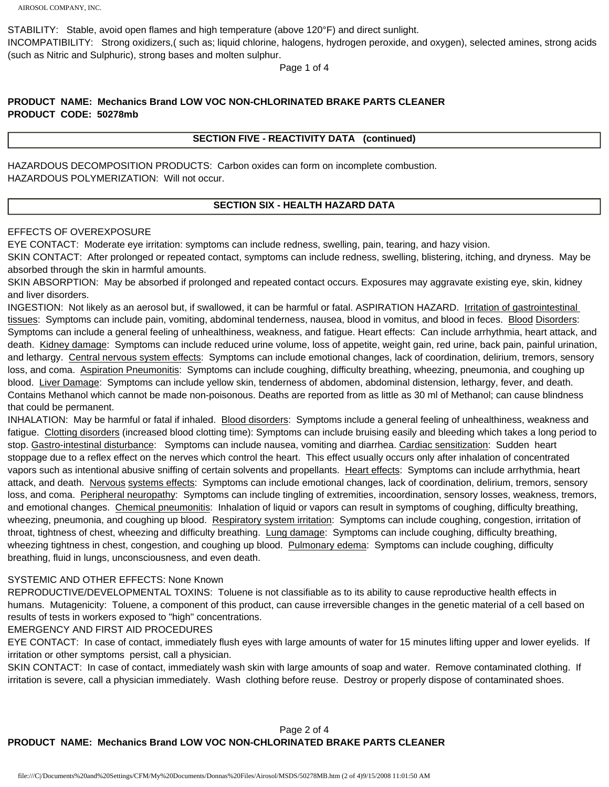STABILITY: Stable, avoid open flames and high temperature (above 120°F) and direct sunlight.

INCOMPATIBILITY: Strong oxidizers,( such as; liquid chlorine, halogens, hydrogen peroxide, and oxygen), selected amines, strong acids (such as Nitric and Sulphuric), strong bases and molten sulphur.

Page 1 of 4

# **PRODUCT NAME: Mechanics Brand LOW VOC NON-CHLORINATED BRAKE PARTS CLEANER PRODUCT CODE: 50278mb**

#### **SECTION FIVE - REACTIVITY DATA (continued)**

HAZARDOUS DECOMPOSITION PRODUCTS: Carbon oxides can form on incomplete combustion. HAZARDOUS POLYMERIZATION: Will not occur.

# **SECTION SIX - HEALTH HAZARD DATA**

#### EFFECTS OF OVEREXPOSURE

EYE CONTACT: Moderate eye irritation: symptoms can include redness, swelling, pain, tearing, and hazy vision.

SKIN CONTACT: After prolonged or repeated contact, symptoms can include redness, swelling, blistering, itching, and dryness. May be absorbed through the skin in harmful amounts.

SKIN ABSORPTION: May be absorbed if prolonged and repeated contact occurs. Exposures may aggravate existing eye, skin, kidney and liver disorders.

INGESTION: Not likely as an aerosol but, if swallowed, it can be harmful or fatal. ASPIRATION HAZARD. Irritation of gastrointestinal tissues: Symptoms can include pain, vomiting, abdominal tenderness, nausea, blood in vomitus, and blood in feces. Blood Disorders: Symptoms can include a general feeling of unhealthiness, weakness, and fatigue. Heart effects: Can include arrhythmia, heart attack, and death. Kidney damage: Symptoms can include reduced urine volume, loss of appetite, weight gain, red urine, back pain, painful urination, and lethargy. Central nervous system effects: Symptoms can include emotional changes, lack of coordination, delirium, tremors, sensory loss, and coma. Aspiration Pneumonitis: Symptoms can include coughing, difficulty breathing, wheezing, pneumonia, and coughing up blood. Liver Damage: Symptoms can include yellow skin, tenderness of abdomen, abdominal distension, lethargy, fever, and death. Contains Methanol which cannot be made non-poisonous. Deaths are reported from as little as 30 ml of Methanol; can cause blindness that could be permanent.

INHALATION: May be harmful or fatal if inhaled. Blood disorders: Symptoms include a general feeling of unhealthiness, weakness and fatigue. Clotting disorders (increased blood clotting time): Symptoms can include bruising easily and bleeding which takes a long period to stop. Gastro-intestinal disturbance: Symptoms can include nausea, vomiting and diarrhea. Cardiac sensitization: Sudden heart stoppage due to a reflex effect on the nerves which control the heart. This effect usually occurs only after inhalation of concentrated vapors such as intentional abusive sniffing of certain solvents and propellants. Heart effects: Symptoms can include arrhythmia, heart attack, and death. Nervous systems effects: Symptoms can include emotional changes, lack of coordination, delirium, tremors, sensory loss, and coma. Peripheral neuropathy: Symptoms can include tingling of extremities, incoordination, sensory losses, weakness, tremors, and emotional changes. Chemical pneumonitis: Inhalation of liquid or vapors can result in symptoms of coughing, difficulty breathing, wheezing, pneumonia, and coughing up blood. Respiratory system irritation: Symptoms can include coughing, congestion, irritation of throat, tightness of chest, wheezing and difficulty breathing. Lung damage: Symptoms can include coughing, difficulty breathing, wheezing tightness in chest, congestion, and coughing up blood. Pulmonary edema: Symptoms can include coughing, difficulty breathing, fluid in lungs, unconsciousness, and even death.

#### SYSTEMIC AND OTHER EFFECTS: None Known

REPRODUCTIVE/DEVELOPMENTAL TOXINS: Toluene is not classifiable as to its ability to cause reproductive health effects in humans. Mutagenicity: Toluene, a component of this product, can cause irreversible changes in the genetic material of a cell based on results of tests in workers exposed to "high" concentrations.

# EMERGENCY AND FIRST AID PROCEDURES

EYE CONTACT: In case of contact, immediately flush eyes with large amounts of water for 15 minutes lifting upper and lower eyelids. If irritation or other symptoms persist, call a physician.

SKIN CONTACT: In case of contact, immediately wash skin with large amounts of soap and water. Remove contaminated clothing. If irritation is severe, call a physician immediately. Wash clothing before reuse. Destroy or properly dispose of contaminated shoes.

# Page 2 of 4 **PRODUCT NAME: Mechanics Brand LOW VOC NON-CHLORINATED BRAKE PARTS CLEANER**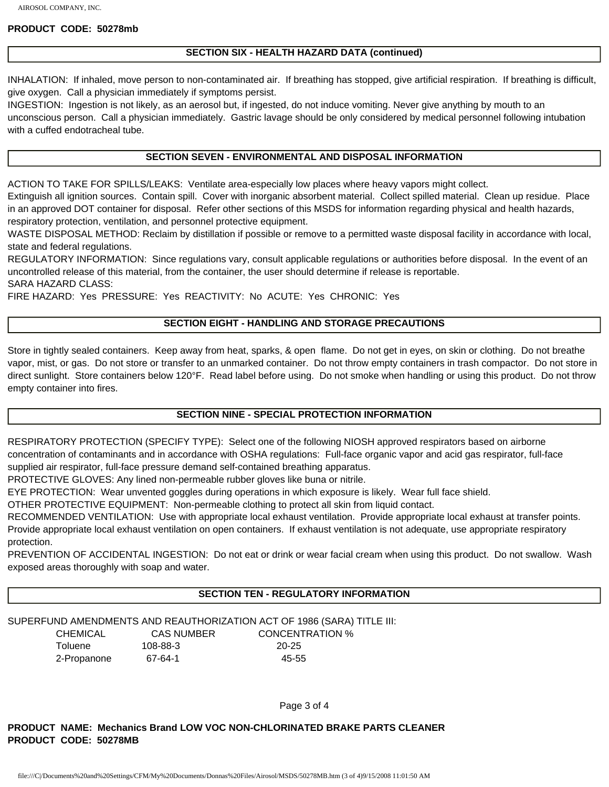#### **PRODUCT CODE: 50278mb**

#### **SECTION SIX - HEALTH HAZARD DATA (continued)**

INHALATION: If inhaled, move person to non-contaminated air. If breathing has stopped, give artificial respiration. If breathing is difficult, give oxygen. Call a physician immediately if symptoms persist.

INGESTION: Ingestion is not likely, as an aerosol but, if ingested, do not induce vomiting. Never give anything by mouth to an unconscious person. Call a physician immediately. Gastric lavage should be only considered by medical personnel following intubation with a cuffed endotracheal tube.

#### **SECTION SEVEN - ENVIRONMENTAL AND DISPOSAL INFORMATION**

ACTION TO TAKE FOR SPILLS/LEAKS: Ventilate area-especially low places where heavy vapors might collect.

Extinguish all ignition sources. Contain spill. Cover with inorganic absorbent material. Collect spilled material. Clean up residue. Place in an approved DOT container for disposal. Refer other sections of this MSDS for information regarding physical and health hazards, respiratory protection, ventilation, and personnel protective equipment.

WASTE DISPOSAL METHOD: Reclaim by distillation if possible or remove to a permitted waste disposal facility in accordance with local, state and federal regulations.

REGULATORY INFORMATION: Since regulations vary, consult applicable regulations or authorities before disposal. In the event of an uncontrolled release of this material, from the container, the user should determine if release is reportable.

SARA HAZARD CLASS:

FIRE HAZARD: Yes PRESSURE: Yes REACTIVITY: No ACUTE: Yes CHRONIC: Yes

# **SECTION EIGHT - HANDLING AND STORAGE PRECAUTIONS**

Store in tightly sealed containers. Keep away from heat, sparks, & open flame. Do not get in eyes, on skin or clothing. Do not breathe vapor, mist, or gas. Do not store or transfer to an unmarked container. Do not throw empty containers in trash compactor. Do not store in direct sunlight. Store containers below 120°F. Read label before using. Do not smoke when handling or using this product. Do not throw empty container into fires.

#### **SECTION NINE - SPECIAL PROTECTION INFORMATION**

RESPIRATORY PROTECTION (SPECIFY TYPE): Select one of the following NIOSH approved respirators based on airborne concentration of contaminants and in accordance with OSHA regulations: Full-face organic vapor and acid gas respirator, full-face supplied air respirator, full-face pressure demand self-contained breathing apparatus.

PROTECTIVE GLOVES: Any lined non-permeable rubber gloves like buna or nitrile.

EYE PROTECTION: Wear unvented goggles during operations in which exposure is likely. Wear full face shield.

OTHER PROTECTIVE EQUIPMENT: Non-permeable clothing to protect all skin from liquid contact.

RECOMMENDED VENTILATION: Use with appropriate local exhaust ventilation. Provide appropriate local exhaust at transfer points.

Provide appropriate local exhaust ventilation on open containers. If exhaust ventilation is not adequate, use appropriate respiratory protection.

PREVENTION OF ACCIDENTAL INGESTION: Do not eat or drink or wear facial cream when using this product. Do not swallow. Wash exposed areas thoroughly with soap and water.

# **SECTION TEN - REGULATORY INFORMATION**

#### SUPERFUND AMENDMENTS AND REAUTHORIZATION ACT OF 1986 (SARA) TITLE III:

 CHEMICAL CAS NUMBER CONCENTRATION % Toluene 108-88-3 20-25 2-Propanone 67-64-1 45-55

Page 3 of 4

**PRODUCT NAME: Mechanics Brand LOW VOC NON-CHLORINATED BRAKE PARTS CLEANER PRODUCT CODE: 50278MB**